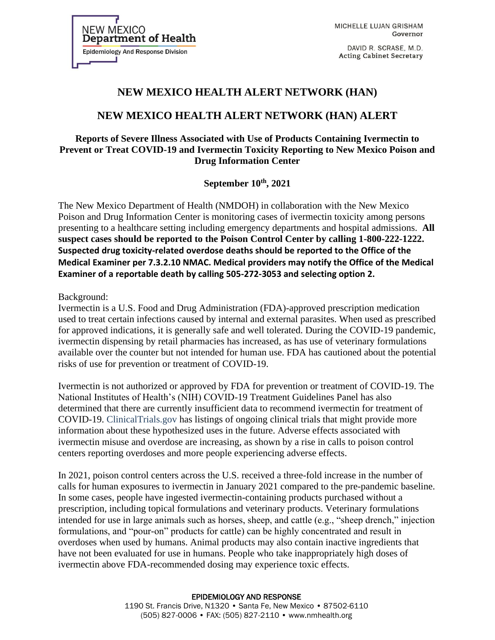**Department of Health Epidemiology And Response Division** 

**NEW MEXICO** 

MICHELLE LUJAN GRISHAM Governor

DAVID R. SCRASE, M.D. **Acting Cabinet Secretary** 

# **NEW MEXICO HEALTH ALERT NETWORK (HAN)**

## **NEW MEXICO HEALTH ALERT NETWORK (HAN) ALERT**

### **Reports of Severe Illness Associated with Use of Products Containing Ivermectin to Prevent or Treat COVID-19 and Ivermectin Toxicity Reporting to New Mexico Poison and Drug Information Center**

**September 10th, 2021**

The New Mexico Department of Health (NMDOH) in collaboration with the New Mexico Poison and Drug Information Center is monitoring cases of ivermectin toxicity among persons presenting to a healthcare setting including emergency departments and hospital admissions. **All suspect cases should be reported to the Poison Control Center by calling 1-800-222-1222. Suspected drug toxicity-related overdose deaths should be reported to the Office of the Medical Examiner per 7.3.2.10 NMAC. Medical providers may notify the Office of the Medical Examiner of a reportable death by calling 505-272-3053 and selecting option 2.**

#### Background:

Ivermectin is a U.S. Food and Drug Administration (FDA)-approved prescription medication used to treat certain infections caused by internal and external parasites. When used as prescribed for approved indications, it is generally safe and well tolerated. During the COVID-19 pandemic, ivermectin dispensing by retail pharmacies has increased, as has use of veterinary formulations available over the counter but not intended for human use. FDA has cautioned about the potential risks of use for prevention or treatment of COVID-19.

Ivermectin is not authorized or approved by FDA for prevention or treatment of COVID-19. The National Institutes of Health's (NIH) COVID-19 Treatment Guidelines Panel has also determined that there are currently insufficient data to recommend ivermectin for treatment of COVID-19. ClinicalTrials.gov has listings of ongoing clinical trials that might provide more information about these hypothesized uses in the future. Adverse effects associated with ivermectin misuse and overdose are increasing, as shown by a rise in calls to poison control centers reporting overdoses and more people experiencing adverse effects.

In 2021, poison control centers across the U.S. received a three-fold increase in the number of calls for human exposures to ivermectin in January 2021 compared to the pre-pandemic baseline. In some cases, people have ingested ivermectin-containing products purchased without a prescription, including topical formulations and veterinary products. Veterinary formulations intended for use in large animals such as horses, sheep, and cattle (e.g., "sheep drench," injection formulations, and "pour-on" products for cattle) can be highly concentrated and result in overdoses when used by humans. Animal products may also contain inactive ingredients that have not been evaluated for use in humans. People who take inappropriately high doses of ivermectin above FDA-recommended dosing may experience toxic effects.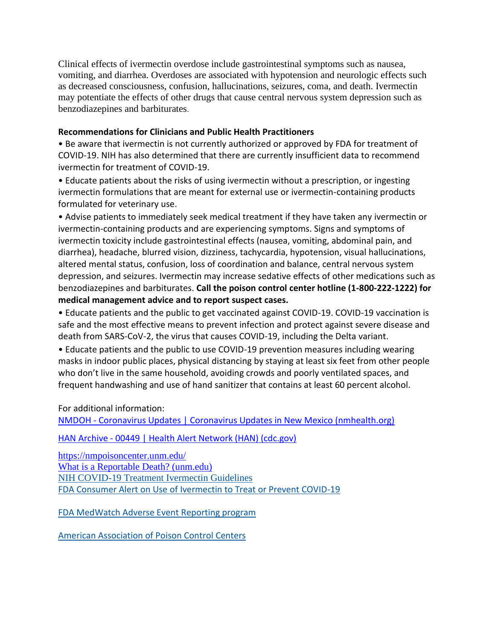Clinical effects of ivermectin overdose include gastrointestinal symptoms such as nausea, vomiting, and diarrhea. Overdoses are associated with hypotension and neurologic effects such as decreased consciousness, confusion, hallucinations, seizures, coma, and death. Ivermectin may potentiate the effects of other drugs that cause central nervous system depression such as benzodiazepines and barbiturates.

#### **Recommendations for Clinicians and Public Health Practitioners**

• Be aware that ivermectin is not currently authorized or approved by FDA for treatment of COVID-19. NIH has also determined that there are currently insufficient data to recommend ivermectin for treatment of COVID-19.

• Educate patients about the risks of using ivermectin without a prescription, or ingesting ivermectin formulations that are meant for external use or ivermectin-containing products formulated for veterinary use.

• Advise patients to immediately seek medical treatment if they have taken any ivermectin or ivermectin-containing products and are experiencing symptoms. Signs and symptoms of ivermectin toxicity include gastrointestinal effects (nausea, vomiting, abdominal pain, and diarrhea), headache, blurred vision, dizziness, tachycardia, hypotension, visual hallucinations, altered mental status, confusion, loss of coordination and balance, central nervous system depression, and seizures. Ivermectin may increase sedative effects of other medications such as benzodiazepines and barbiturates. **Call the poison control center hotline (1-800-222-1222) for medical management advice and to report suspect cases.**

• Educate patients and the public to get vaccinated against COVID-19. COVID-19 vaccination is safe and the most effective means to prevent infection and protect against severe disease and death from SARS-CoV-2, the virus that causes COVID-19, including the Delta variant.

• Educate patients and the public to use COVID-19 prevention measures including wearing masks in indoor public places, physical distancing by staying at least six feet from other people who don't live in the same household, avoiding crowds and poorly ventilated spaces, and frequent handwashing and use of hand sanitizer that contains at least 60 percent alcohol.

For additional information:

NMDOH - [Coronavirus Updates | Coronavirus Updates in New Mexico \(nmhealth.org\)](https://cv.nmhealth.org/)

HAN Archive - [00449 | Health Alert Network \(HAN\) \(cdc.gov\)](https://emergency.cdc.gov/han/2021/han00449.asp?ACSTrackingID=USCDC_511-DM64535&ACSTrackingLabel=HAN%20449%20-%20General%20Public&deliveryName=USCDC_511-DM64535)

<https://nmpoisoncenter.unm.edu/> [What is a Reportable Death? \(unm.edu\)](https://hsc.unm.edu/omi/about/faq/reportable.html) [NIH COVID-19 Treatment Ivermectin Guidelines](https://www.covid19treatmentguidelines.nih.gov/therapies/antiviral-therapy/ivermectin/) [FDA Consumer Alert on Use of Ivermectin to Treat or Prevent COVID-19](https://www.fda.gov/consumers/consumer-updates/why-you-should-not-use-ivermectin-treat-or-prevent-covid-19)

[FDA MedWatch Adverse Event Reporting program](https://www.fda.gov/safety/medwatch-fda-safety-information-and-adverse-event-reporting-program)

[American Association of Poison Control Centers](https://www.aapcc.org/)